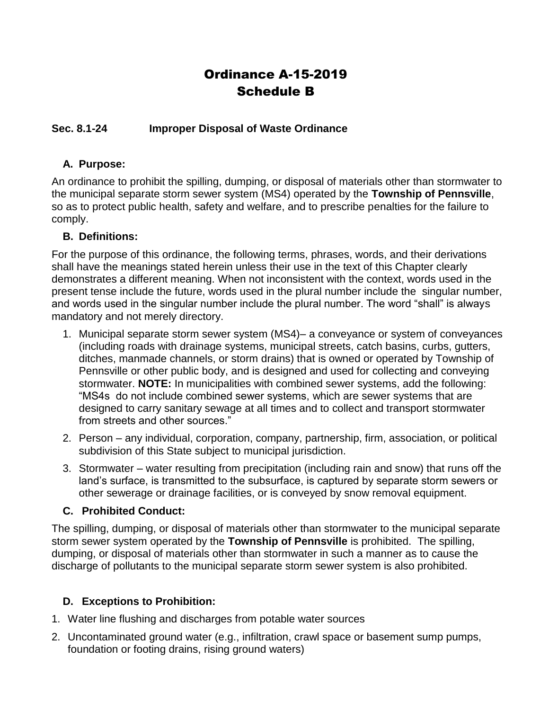# Ordinance A-15-2019 Schedule B

#### **Sec. 8.1-24 Improper Disposal of Waste Ordinance**

#### **A. Purpose:**

An ordinance to prohibit the spilling, dumping, or disposal of materials other than stormwater to the municipal separate storm sewer system (MS4) operated by the **Township of Pennsville**, so as to protect public health, safety and welfare, and to prescribe penalties for the failure to comply.

#### **B. Definitions:**

For the purpose of this ordinance, the following terms, phrases, words, and their derivations shall have the meanings stated herein unless their use in the text of this Chapter clearly demonstrates a different meaning. When not inconsistent with the context, words used in the present tense include the future, words used in the plural number include the singular number, and words used in the singular number include the plural number. The word "shall" is always mandatory and not merely directory.

- 1. Municipal separate storm sewer system (MS4)– a conveyance or system of conveyances (including roads with drainage systems, municipal streets, catch basins, curbs, gutters, ditches, manmade channels, or storm drains) that is owned or operated by Township of Pennsville or other public body, and is designed and used for collecting and conveying stormwater. **NOTE:** In municipalities with combined sewer systems, add the following: "MS4s do not include combined sewer systems, which are sewer systems that are designed to carry sanitary sewage at all times and to collect and transport stormwater from streets and other sources."
- 2. Person any individual, corporation, company, partnership, firm, association, or political subdivision of this State subject to municipal jurisdiction.
- 3. Stormwater water resulting from precipitation (including rain and snow) that runs off the land's surface, is transmitted to the subsurface, is captured by separate storm sewers or other sewerage or drainage facilities, or is conveyed by snow removal equipment.

#### **C. Prohibited Conduct:**

The spilling, dumping, or disposal of materials other than stormwater to the municipal separate storm sewer system operated by the **Township of Pennsville** is prohibited. The spilling, dumping, or disposal of materials other than stormwater in such a manner as to cause the discharge of pollutants to the municipal separate storm sewer system is also prohibited.

# **D. Exceptions to Prohibition:**

- 1. Water line flushing and discharges from potable water sources
- 2. Uncontaminated ground water (e.g., infiltration, crawl space or basement sump pumps, foundation or footing drains, rising ground waters)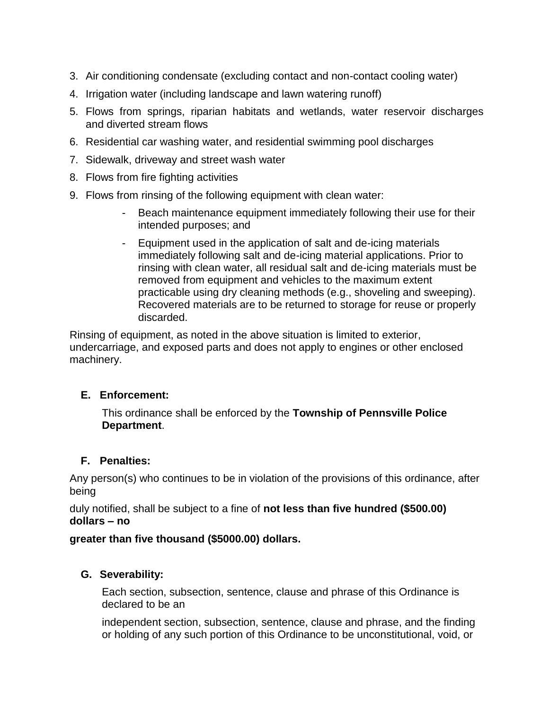- 3. Air conditioning condensate (excluding contact and non-contact cooling water)
- 4. Irrigation water (including landscape and lawn watering runoff)
- 5. Flows from springs, riparian habitats and wetlands, water reservoir discharges and diverted stream flows
- 6. Residential car washing water, and residential swimming pool discharges
- 7. Sidewalk, driveway and street wash water
- 8. Flows from fire fighting activities
- 9. Flows from rinsing of the following equipment with clean water:
	- Beach maintenance equipment immediately following their use for their intended purposes; and
	- Equipment used in the application of salt and de-icing materials immediately following salt and de-icing material applications. Prior to rinsing with clean water, all residual salt and de-icing materials must be removed from equipment and vehicles to the maximum extent practicable using dry cleaning methods (e.g., shoveling and sweeping). Recovered materials are to be returned to storage for reuse or properly discarded.

Rinsing of equipment, as noted in the above situation is limited to exterior, undercarriage, and exposed parts and does not apply to engines or other enclosed machinery.

# **E. Enforcement:**

This ordinance shall be enforced by the **Township of Pennsville Police Department**.

# **F. Penalties:**

Any person(s) who continues to be in violation of the provisions of this ordinance, after being

duly notified, shall be subject to a fine of **not less than five hundred (\$500.00) dollars – no**

#### **greater than five thousand (\$5000.00) dollars.**

# **G. Severability:**

Each section, subsection, sentence, clause and phrase of this Ordinance is declared to be an

independent section, subsection, sentence, clause and phrase, and the finding or holding of any such portion of this Ordinance to be unconstitutional, void, or